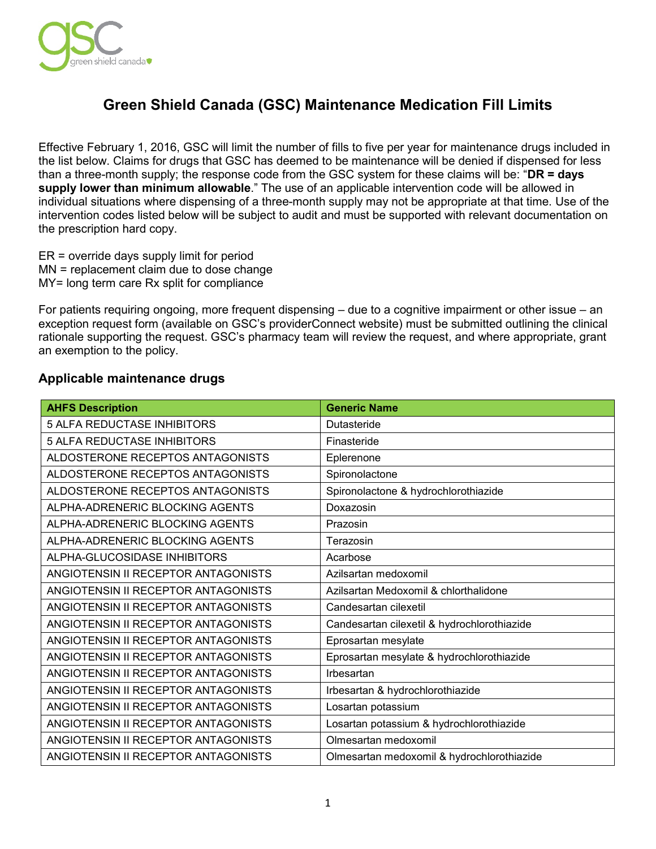

## **Green Shield Canada (GSC) Maintenance Medication Fill Limits**

 Effective February 1, 2016, GSC will limit the number of fills to five per year for maintenance drugs included in the list below. Claims for drugs that GSC has deemed to be maintenance will be denied if dispensed for less than a three-month supply; the response code from the GSC system for these claims will be: "**DR = days supply lower than minimum allowable**." The use of an applicable intervention code will be allowed in intervention codes listed below will be subject to audit and must be supported with relevant documentation on individual situations where dispensing of a three-month supply may not be appropriate at that time. Use of the the prescription hard copy.

ER = override days supply limit for period MN = replacement claim due to dose change MY= long term care Rx split for compliance

 For patients requiring ongoing, more frequent dispensing – due to a cognitive impairment or other issue – an exception request form (available on GSC's providerConnect website) must be submitted outlining the clinical rationale supporting the request. GSC's pharmacy team will review the request, and where appropriate, grant an exemption to the policy.

## **Applicable maintenance drugs**

| <b>AHFS Description</b>             | <b>Generic Name</b>                         |
|-------------------------------------|---------------------------------------------|
| <b>5 ALFA REDUCTASE INHIBITORS</b>  | Dutasteride                                 |
| <b>5 ALFA REDUCTASE INHIBITORS</b>  | Finasteride                                 |
| ALDOSTERONE RECEPTOS ANTAGONISTS    | Eplerenone                                  |
| ALDOSTERONE RECEPTOS ANTAGONISTS    | Spironolactone                              |
| ALDOSTERONE RECEPTOS ANTAGONISTS    | Spironolactone & hydrochlorothiazide        |
| ALPHA-ADRENERIC BLOCKING AGENTS     | Doxazosin                                   |
| ALPHA-ADRENERIC BLOCKING AGENTS     | Prazosin                                    |
| ALPHA-ADRENERIC BLOCKING AGENTS     | Terazosin                                   |
| ALPHA-GLUCOSIDASE INHIBITORS        | Acarbose                                    |
| ANGIOTENSIN II RECEPTOR ANTAGONISTS | Azilsartan medoxomil                        |
| ANGIOTENSIN II RECEPTOR ANTAGONISTS | Azilsartan Medoxomil & chlorthalidone       |
| ANGIOTENSIN II RECEPTOR ANTAGONISTS | Candesartan cilexetil                       |
| ANGIOTENSIN II RECEPTOR ANTAGONISTS | Candesartan cilexetil & hydrochlorothiazide |
| ANGIOTENSIN II RECEPTOR ANTAGONISTS | Eprosartan mesylate                         |
| ANGIOTENSIN II RECEPTOR ANTAGONISTS | Eprosartan mesylate & hydrochlorothiazide   |
| ANGIOTENSIN II RECEPTOR ANTAGONISTS | Irbesartan                                  |
| ANGIOTENSIN II RECEPTOR ANTAGONISTS | Irbesartan & hydrochlorothiazide            |
| ANGIOTENSIN II RECEPTOR ANTAGONISTS | Losartan potassium                          |
| ANGIOTENSIN II RECEPTOR ANTAGONISTS | Losartan potassium & hydrochlorothiazide    |
| ANGIOTENSIN II RECEPTOR ANTAGONISTS | Olmesartan medoxomil                        |
| ANGIOTENSIN II RECEPTOR ANTAGONISTS | Olmesartan medoxomil & hydrochlorothiazide  |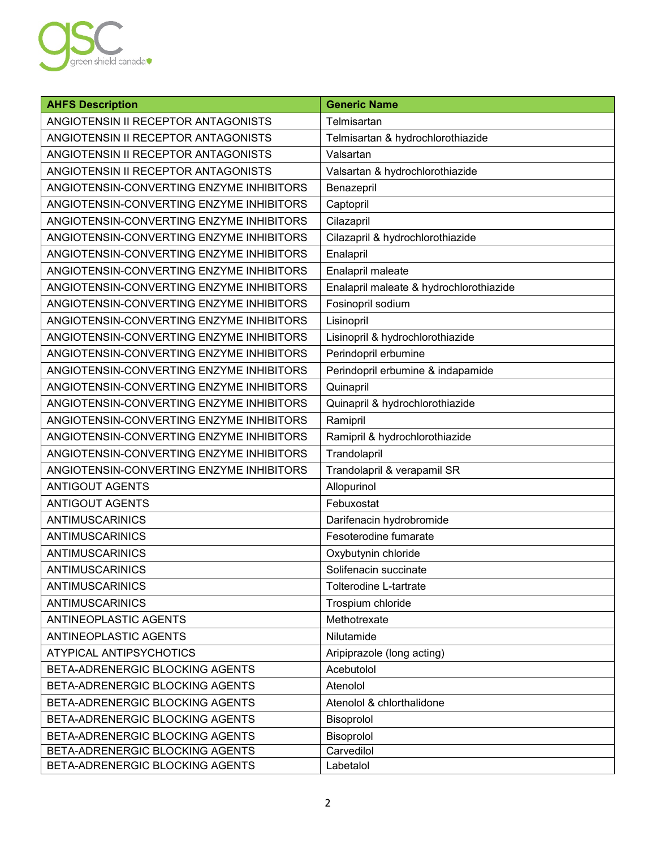

| <b>AHFS Description</b>                  | <b>Generic Name</b>                     |
|------------------------------------------|-----------------------------------------|
| ANGIOTENSIN II RECEPTOR ANTAGONISTS      | Telmisartan                             |
| ANGIOTENSIN II RECEPTOR ANTAGONISTS      | Telmisartan & hydrochlorothiazide       |
| ANGIOTENSIN II RECEPTOR ANTAGONISTS      | Valsartan                               |
| ANGIOTENSIN II RECEPTOR ANTAGONISTS      | Valsartan & hydrochlorothiazide         |
| ANGIOTENSIN-CONVERTING ENZYME INHIBITORS | Benazepril                              |
| ANGIOTENSIN-CONVERTING ENZYME INHIBITORS | Captopril                               |
| ANGIOTENSIN-CONVERTING ENZYME INHIBITORS | Cilazapril                              |
| ANGIOTENSIN-CONVERTING ENZYME INHIBITORS | Cilazapril & hydrochlorothiazide        |
| ANGIOTENSIN-CONVERTING ENZYME INHIBITORS | Enalapril                               |
| ANGIOTENSIN-CONVERTING ENZYME INHIBITORS | Enalapril maleate                       |
| ANGIOTENSIN-CONVERTING ENZYME INHIBITORS | Enalapril maleate & hydrochlorothiazide |
| ANGIOTENSIN-CONVERTING ENZYME INHIBITORS | Fosinopril sodium                       |
| ANGIOTENSIN-CONVERTING ENZYME INHIBITORS | Lisinopril                              |
| ANGIOTENSIN-CONVERTING ENZYME INHIBITORS | Lisinopril & hydrochlorothiazide        |
| ANGIOTENSIN-CONVERTING ENZYME INHIBITORS | Perindopril erbumine                    |
| ANGIOTENSIN-CONVERTING ENZYME INHIBITORS | Perindopril erbumine & indapamide       |
| ANGIOTENSIN-CONVERTING ENZYME INHIBITORS | Quinapril                               |
| ANGIOTENSIN-CONVERTING ENZYME INHIBITORS | Quinapril & hydrochlorothiazide         |
| ANGIOTENSIN-CONVERTING ENZYME INHIBITORS | Ramipril                                |
| ANGIOTENSIN-CONVERTING ENZYME INHIBITORS | Ramipril & hydrochlorothiazide          |
| ANGIOTENSIN-CONVERTING ENZYME INHIBITORS | Trandolapril                            |
| ANGIOTENSIN-CONVERTING ENZYME INHIBITORS | Trandolapril & verapamil SR             |
| <b>ANTIGOUT AGENTS</b>                   | Allopurinol                             |
| <b>ANTIGOUT AGENTS</b>                   | Febuxostat                              |
| ANTIMUSCARINICS                          | Darifenacin hydrobromide                |
| ANTIMUSCARINICS                          | Fesoterodine fumarate                   |
| ANTIMUSCARINICS                          | Oxybutynin chloride                     |
| ANTIMUSCARINICS                          | Solifenacin succinate                   |
| <b>ANTIMUSCARINICS</b>                   | Tolterodine L-tartrate                  |
| <b>ANTIMUSCARINICS</b>                   | Trospium chloride                       |
| ANTINEOPLASTIC AGENTS                    | Methotrexate                            |
| ANTINEOPLASTIC AGENTS                    | Nilutamide                              |
| ATYPICAL ANTIPSYCHOTICS                  | Aripiprazole (long acting)              |
| BETA-ADRENERGIC BLOCKING AGENTS          | Acebutolol                              |
| BETA-ADRENERGIC BLOCKING AGENTS          | Atenolol                                |
| BETA-ADRENERGIC BLOCKING AGENTS          | Atenolol & chlorthalidone               |
| BETA-ADRENERGIC BLOCKING AGENTS          | Bisoprolol                              |
| BETA-ADRENERGIC BLOCKING AGENTS          | Bisoprolol                              |
| BETA-ADRENERGIC BLOCKING AGENTS          | Carvedilol                              |
| BETA-ADRENERGIC BLOCKING AGENTS          | Labetalol                               |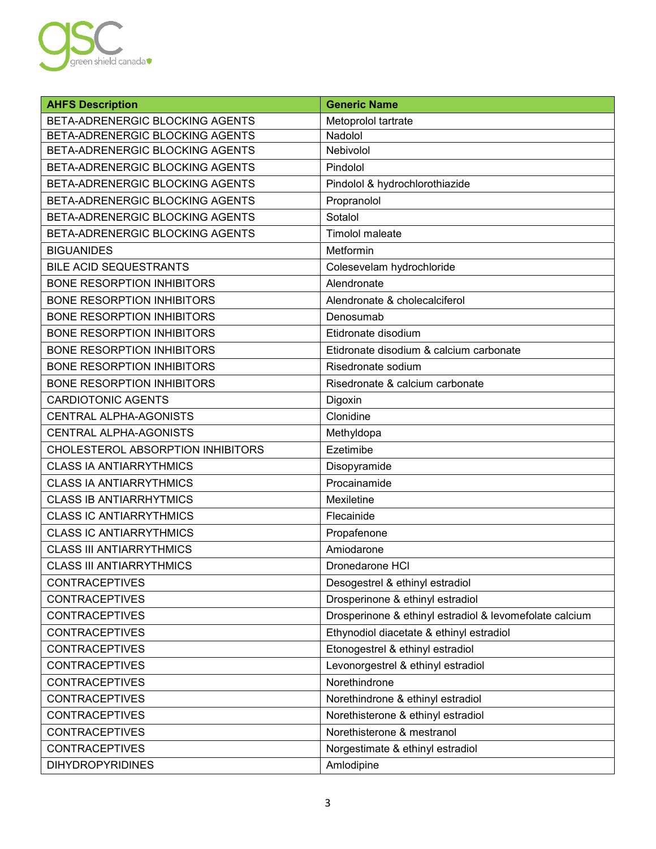

| <b>AHFS Description</b>           | <b>Generic Name</b>                                     |
|-----------------------------------|---------------------------------------------------------|
| BETA-ADRENERGIC BLOCKING AGENTS   | Metoprolol tartrate                                     |
| BETA-ADRENERGIC BLOCKING AGENTS   | Nadolol                                                 |
| BETA-ADRENERGIC BLOCKING AGENTS   | Nebivolol                                               |
| BETA-ADRENERGIC BLOCKING AGENTS   | Pindolol                                                |
| BETA-ADRENERGIC BLOCKING AGENTS   | Pindolol & hydrochlorothiazide                          |
| BETA-ADRENERGIC BLOCKING AGENTS   | Propranolol                                             |
| BETA-ADRENERGIC BLOCKING AGENTS   | Sotalol                                                 |
| BETA-ADRENERGIC BLOCKING AGENTS   | <b>Timolol maleate</b>                                  |
| <b>BIGUANIDES</b>                 | Metformin                                               |
| <b>BILE ACID SEQUESTRANTS</b>     | Colesevelam hydrochloride                               |
| <b>BONE RESORPTION INHIBITORS</b> | Alendronate                                             |
| <b>BONE RESORPTION INHIBITORS</b> | Alendronate & cholecalciferol                           |
| <b>BONE RESORPTION INHIBITORS</b> | Denosumab                                               |
| <b>BONE RESORPTION INHIBITORS</b> | Etidronate disodium                                     |
| <b>BONE RESORPTION INHIBITORS</b> | Etidronate disodium & calcium carbonate                 |
| <b>BONE RESORPTION INHIBITORS</b> | Risedronate sodium                                      |
| <b>BONE RESORPTION INHIBITORS</b> | Risedronate & calcium carbonate                         |
| <b>CARDIOTONIC AGENTS</b>         | Digoxin                                                 |
| <b>CENTRAL ALPHA-AGONISTS</b>     | Clonidine                                               |
| CENTRAL ALPHA-AGONISTS            | Methyldopa                                              |
| CHOLESTEROL ABSORPTION INHIBITORS | Ezetimibe                                               |
| <b>CLASS IA ANTIARRYTHMICS</b>    | Disopyramide                                            |
| <b>CLASS IA ANTIARRYTHMICS</b>    | Procainamide                                            |
| <b>CLASS IB ANTIARRHYTMICS</b>    | Mexiletine                                              |
| <b>CLASS IC ANTIARRYTHMICS</b>    | Flecainide                                              |
| <b>CLASS IC ANTIARRYTHMICS</b>    | Propafenone                                             |
| <b>CLASS III ANTIARRYTHMICS</b>   | Amiodarone                                              |
| <b>CLASS III ANTIARRYTHMICS</b>   | Dronedarone HCI                                         |
| <b>CONTRACEPTIVES</b>             | Desogestrel & ethinyl estradiol                         |
| <b>CONTRACEPTIVES</b>             | Drosperinone & ethinyl estradiol                        |
| <b>CONTRACEPTIVES</b>             | Drosperinone & ethinyl estradiol & levomefolate calcium |
| <b>CONTRACEPTIVES</b>             | Ethynodiol diacetate & ethinyl estradiol                |
| <b>CONTRACEPTIVES</b>             | Etonogestrel & ethinyl estradiol                        |
| <b>CONTRACEPTIVES</b>             | Levonorgestrel & ethinyl estradiol                      |
| <b>CONTRACEPTIVES</b>             | Norethindrone                                           |
| <b>CONTRACEPTIVES</b>             | Norethindrone & ethinyl estradiol                       |
| <b>CONTRACEPTIVES</b>             | Norethisterone & ethinyl estradiol                      |
| <b>CONTRACEPTIVES</b>             | Norethisterone & mestranol                              |
| <b>CONTRACEPTIVES</b>             | Norgestimate & ethinyl estradiol                        |
| <b>DIHYDROPYRIDINES</b>           | Amlodipine                                              |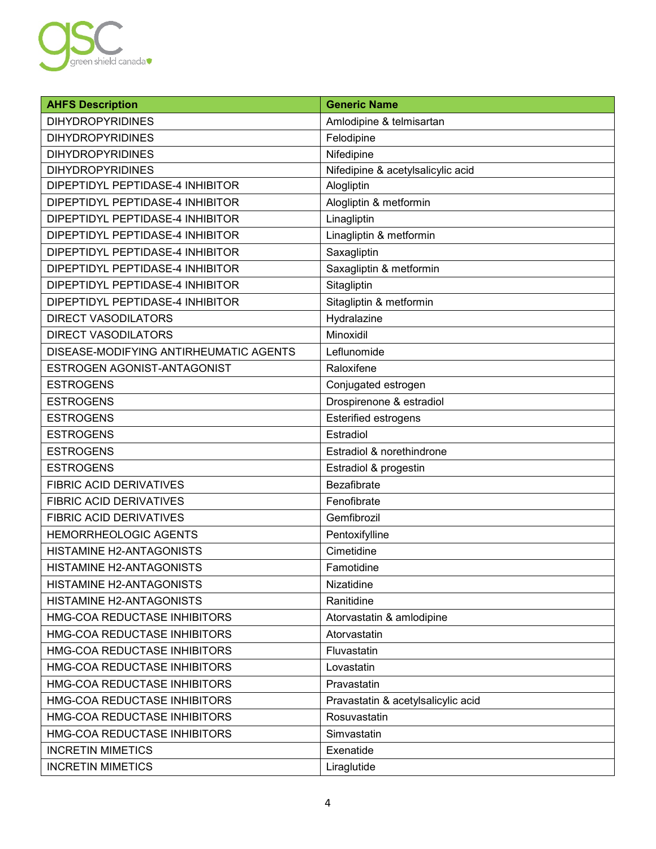

| <b>AHFS Description</b>                | <b>Generic Name</b>                |
|----------------------------------------|------------------------------------|
| <b>DIHYDROPYRIDINES</b>                | Amlodipine & telmisartan           |
| <b>DIHYDROPYRIDINES</b>                | Felodipine                         |
| <b>DIHYDROPYRIDINES</b>                | Nifedipine                         |
| <b>DIHYDROPYRIDINES</b>                | Nifedipine & acetylsalicylic acid  |
| DIPEPTIDYL PEPTIDASE-4 INHIBITOR       | Alogliptin                         |
| DIPEPTIDYL PEPTIDASE-4 INHIBITOR       | Alogliptin & metformin             |
| DIPEPTIDYL PEPTIDASE-4 INHIBITOR       | Linagliptin                        |
| DIPEPTIDYL PEPTIDASE-4 INHIBITOR       | Linagliptin & metformin            |
| DIPEPTIDYL PEPTIDASE-4 INHIBITOR       | Saxagliptin                        |
| DIPEPTIDYL PEPTIDASE-4 INHIBITOR       | Saxagliptin & metformin            |
| DIPEPTIDYL PEPTIDASE-4 INHIBITOR       | Sitagliptin                        |
| DIPEPTIDYL PEPTIDASE-4 INHIBITOR       | Sitagliptin & metformin            |
| <b>DIRECT VASODILATORS</b>             | Hydralazine                        |
| <b>DIRECT VASODILATORS</b>             | Minoxidil                          |
| DISEASE-MODIFYING ANTIRHEUMATIC AGENTS | Leflunomide                        |
| ESTROGEN AGONIST-ANTAGONIST            | Raloxifene                         |
| <b>ESTROGENS</b>                       | Conjugated estrogen                |
| <b>ESTROGENS</b>                       | Drospirenone & estradiol           |
| <b>ESTROGENS</b>                       | <b>Esterified estrogens</b>        |
| <b>ESTROGENS</b>                       | Estradiol                          |
| <b>ESTROGENS</b>                       | Estradiol & norethindrone          |
| <b>ESTROGENS</b>                       | Estradiol & progestin              |
| <b>FIBRIC ACID DERIVATIVES</b>         | <b>Bezafibrate</b>                 |
| <b>FIBRIC ACID DERIVATIVES</b>         | Fenofibrate                        |
| <b>FIBRIC ACID DERIVATIVES</b>         | Gemfibrozil                        |
| HEMORRHEOLOGIC AGENTS                  | Pentoxifylline                     |
| HISTAMINE H2-ANTAGONISTS               | Cimetidine                         |
| HISTAMINE H2-ANTAGONISTS               | Famotidine                         |
| <b>HISTAMINE H2-ANTAGONISTS</b>        | Nizatidine                         |
| HISTAMINE H2-ANTAGONISTS               | Ranitidine                         |
| HMG-COA REDUCTASE INHIBITORS           | Atorvastatin & amlodipine          |
| HMG-COA REDUCTASE INHIBITORS           | Atorvastatin                       |
| HMG-COA REDUCTASE INHIBITORS           | Fluvastatin                        |
| HMG-COA REDUCTASE INHIBITORS           | Lovastatin                         |
| HMG-COA REDUCTASE INHIBITORS           | Pravastatin                        |
| HMG-COA REDUCTASE INHIBITORS           | Pravastatin & acetylsalicylic acid |
| HMG-COA REDUCTASE INHIBITORS           | Rosuvastatin                       |
| HMG-COA REDUCTASE INHIBITORS           | Simvastatin                        |
| <b>INCRETIN MIMETICS</b>               | Exenatide                          |
| <b>INCRETIN MIMETICS</b>               | Liraglutide                        |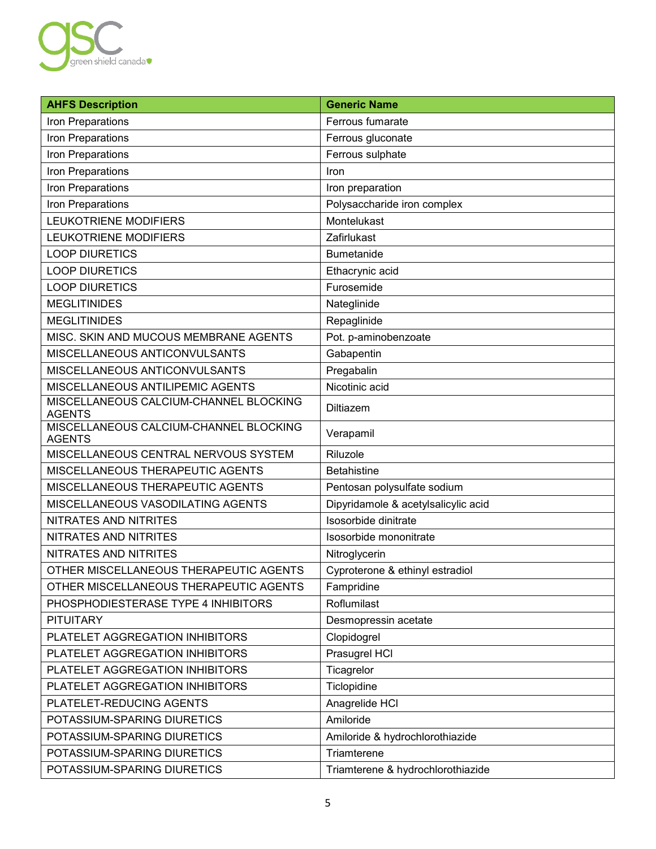

| <b>AHFS Description</b>                                 | <b>Generic Name</b>                 |
|---------------------------------------------------------|-------------------------------------|
| Iron Preparations                                       | Ferrous fumarate                    |
| Iron Preparations                                       | Ferrous gluconate                   |
| Iron Preparations                                       | Ferrous sulphate                    |
| Iron Preparations                                       | Iron                                |
| Iron Preparations                                       | Iron preparation                    |
| Iron Preparations                                       | Polysaccharide iron complex         |
| LEUKOTRIENE MODIFIERS                                   | Montelukast                         |
| <b>LEUKOTRIENE MODIFIERS</b>                            | Zafirlukast                         |
| <b>LOOP DIURETICS</b>                                   | Bumetanide                          |
| <b>LOOP DIURETICS</b>                                   | Ethacrynic acid                     |
| <b>LOOP DIURETICS</b>                                   | Furosemide                          |
| <b>MEGLITINIDES</b>                                     | Nateglinide                         |
| <b>MEGLITINIDES</b>                                     | Repaglinide                         |
| MISC. SKIN AND MUCOUS MEMBRANE AGENTS                   | Pot. p-aminobenzoate                |
| MISCELLANEOUS ANTICONVULSANTS                           | Gabapentin                          |
| MISCELLANEOUS ANTICONVULSANTS                           | Pregabalin                          |
| MISCELLANEOUS ANTILIPEMIC AGENTS                        | Nicotinic acid                      |
| MISCELLANEOUS CALCIUM-CHANNEL BLOCKING<br><b>AGENTS</b> | Diltiazem                           |
| MISCELLANEOUS CALCIUM-CHANNEL BLOCKING<br><b>AGENTS</b> | Verapamil                           |
| MISCELLANEOUS CENTRAL NERVOUS SYSTEM                    | Riluzole                            |
| MISCELLANEOUS THERAPEUTIC AGENTS                        | <b>Betahistine</b>                  |
| MISCELLANEOUS THERAPEUTIC AGENTS                        | Pentosan polysulfate sodium         |
| MISCELLANEOUS VASODILATING AGENTS                       | Dipyridamole & acetylsalicylic acid |
| NITRATES AND NITRITES                                   | Isosorbide dinitrate                |
| NITRATES AND NITRITES                                   | Isosorbide mononitrate              |
| NITRATES AND NITRITES                                   | Nitroglycerin                       |
| OTHER MISCELLANEOUS THERAPEUTIC AGENTS                  | Cyproterone & ethinyl estradiol     |
| OTHER MISCELLANEOUS THERAPEUTIC AGENTS                  | Fampridine                          |
| PHOSPHODIESTERASE TYPE 4 INHIBITORS                     | Roflumilast                         |
| <b>PITUITARY</b>                                        | Desmopressin acetate                |
| PLATELET AGGREGATION INHIBITORS                         | Clopidogrel                         |
| PLATELET AGGREGATION INHIBITORS                         | Prasugrel HCI                       |
| PLATELET AGGREGATION INHIBITORS                         | Ticagrelor                          |
| PLATELET AGGREGATION INHIBITORS                         | Ticlopidine                         |
| PLATELET-REDUCING AGENTS                                | Anagrelide HCI                      |
| POTASSIUM-SPARING DIURETICS                             | Amiloride                           |
| POTASSIUM-SPARING DIURETICS                             | Amiloride & hydrochlorothiazide     |
| POTASSIUM-SPARING DIURETICS                             | Triamterene                         |
| POTASSIUM-SPARING DIURETICS                             | Triamterene & hydrochlorothiazide   |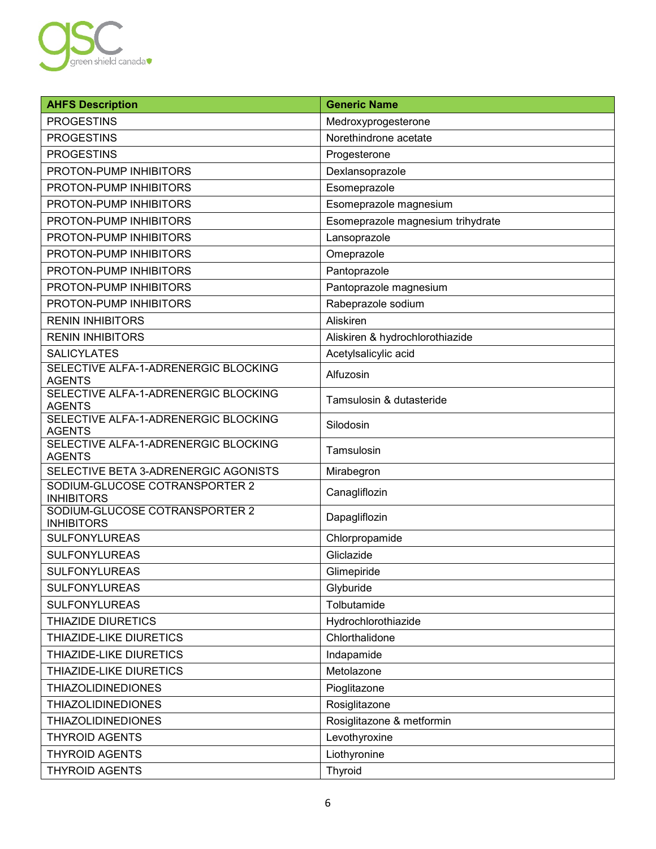

| <b>AHFS Description</b>                               | <b>Generic Name</b>               |
|-------------------------------------------------------|-----------------------------------|
| <b>PROGESTINS</b>                                     | Medroxyprogesterone               |
| <b>PROGESTINS</b>                                     | Norethindrone acetate             |
| <b>PROGESTINS</b>                                     | Progesterone                      |
| PROTON-PUMP INHIBITORS                                | Dexlansoprazole                   |
| PROTON-PUMP INHIBITORS                                | Esomeprazole                      |
| PROTON-PUMP INHIBITORS                                | Esomeprazole magnesium            |
| PROTON-PUMP INHIBITORS                                | Esomeprazole magnesium trihydrate |
| PROTON-PUMP INHIBITORS                                | Lansoprazole                      |
| PROTON-PUMP INHIBITORS                                | Omeprazole                        |
| PROTON-PUMP INHIBITORS                                | Pantoprazole                      |
| PROTON-PUMP INHIBITORS                                | Pantoprazole magnesium            |
| PROTON-PUMP INHIBITORS                                | Rabeprazole sodium                |
| <b>RENIN INHIBITORS</b>                               | Aliskiren                         |
| <b>RENIN INHIBITORS</b>                               | Aliskiren & hydrochlorothiazide   |
| <b>SALICYLATES</b>                                    | Acetylsalicylic acid              |
| SELECTIVE ALFA-1-ADRENERGIC BLOCKING<br><b>AGENTS</b> | Alfuzosin                         |
| SELECTIVE ALFA-1-ADRENERGIC BLOCKING<br><b>AGENTS</b> | Tamsulosin & dutasteride          |
| SELECTIVE ALFA-1-ADRENERGIC BLOCKING<br><b>AGENTS</b> | Silodosin                         |
| SELECTIVE ALFA-1-ADRENERGIC BLOCKING<br><b>AGENTS</b> | Tamsulosin                        |
| SELECTIVE BETA 3-ADRENERGIC AGONISTS                  | Mirabegron                        |
| SODIUM-GLUCOSE COTRANSPORTER 2<br><b>INHIBITORS</b>   | Canagliflozin                     |
| SODIUM-GLUCOSE COTRANSPORTER 2<br><b>INHIBITORS</b>   | Dapagliflozin                     |
| <b>SULFONYLUREAS</b>                                  | Chlorpropamide                    |
| <b>SULFONYLUREAS</b>                                  | Gliclazide                        |
| <b>SULFONYLUREAS</b>                                  | Glimepiride                       |
| <b>SULFONYLUREAS</b>                                  | Glyburide                         |
| <b>SULFONYLUREAS</b>                                  | Tolbutamide                       |
| <b>THIAZIDE DIURETICS</b>                             | Hydrochlorothiazide               |
| THIAZIDE-LIKE DIURETICS                               | Chlorthalidone                    |
| THIAZIDE-LIKE DIURETICS                               | Indapamide                        |
| THIAZIDE-LIKE DIURETICS                               | Metolazone                        |
| <b>THIAZOLIDINEDIONES</b>                             | Pioglitazone                      |
| <b>THIAZOLIDINEDIONES</b>                             | Rosiglitazone                     |
| <b>THIAZOLIDINEDIONES</b>                             | Rosiglitazone & metformin         |
| <b>THYROID AGENTS</b>                                 | Levothyroxine                     |
| <b>THYROID AGENTS</b>                                 | Liothyronine                      |
| <b>THYROID AGENTS</b>                                 | Thyroid                           |